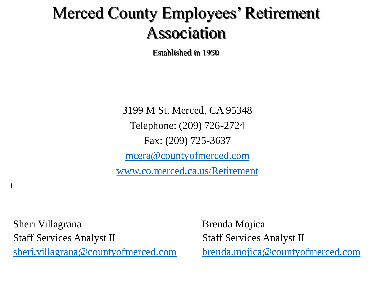## Merced County Employees' Retirement Association

Established in 1950

3199 M St. Merced, CA 95348 Telephone: (209) 726-2724 Fax: (209) 725-3637 [mcera@countyofmerced.com](mailto:mcera@co.merced.ca.us) [www.co.merced.ca.us/Retirement](http://www.co.merced.ca.us/Retirement)

Sheri Villagrana and Brenda Mojica Staff Services Analyst II Staff Services Analyst II [sheri.villagrana@countyofmerced.com](mailto:sheri.villagrana@countyofmerced.com) [brenda.mojica@countyofmerced.com](mailto:brenda.Mojica@countyofmerced.com)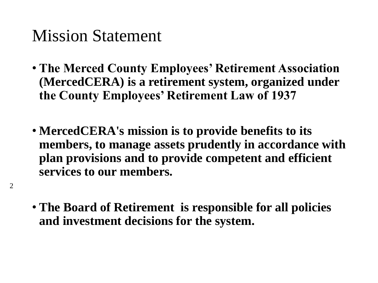### Mission Statement

- **The Merced County Employees' Retirement Association (MercedCERA) is a retirement system, organized under the County Employees' Retirement Law of 1937**
- **MercedCERA's mission is to provide benefits to its members, to manage assets prudently in accordance with plan provisions and to provide competent and efficient services to our members.**
- **The Board of Retirement is responsible for all policies and investment decisions for the system.**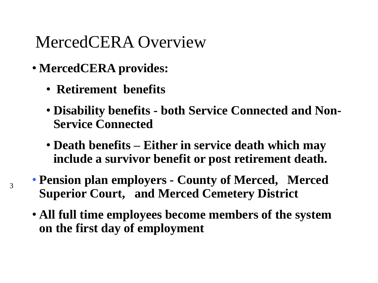### MercedCERA Overview

- **MercedCERA provides:**
	- **Retirement benefits**
	- **Disability benefits - both Service Connected and Non-Service Connected**
	- **Death benefits – Either in service death which may include a survivor benefit or post retirement death.**
- **Pension plan employers - County of Merced, Merced Superior Court, and Merced Cemetery District**
- **All full time employees become members of the system on the first day of employment**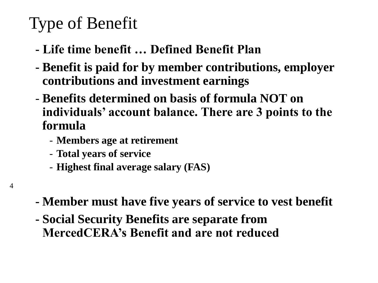# Type of Benefit

- **- Life time benefit … Defined Benefit Plan**
- **- Benefit is paid for by member contributions, employer contributions and investment earnings**
- **Benefits determined on basis of formula NOT on individuals' account balance. There are 3 points to the formula**
	- **Members age at retirement**
	- **Total years of service**
	- **Highest final average salary (FAS)**

- 4
- **- Member must have five years of service to vest benefit**
- **- Social Security Benefits are separate from MercedCERA's Benefit and are not reduced**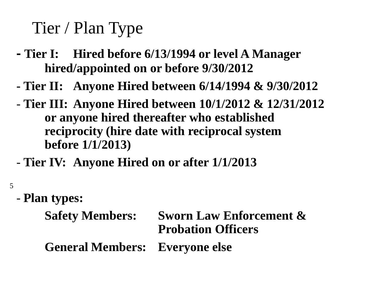## Tier / Plan Type

- **- Tier I: Hired before 6/13/1994 or level A Manager hired/appointed on or before 9/30/2012**
- **- Tier II: Anyone Hired between 6/14/1994 & 9/30/2012**
- **Tier III: Anyone Hired between 10/1/2012 & 12/31/2012 or anyone hired thereafter who established reciprocity (hire date with reciprocal system before 1/1/2013)**
- **Tier IV: Anyone Hired on or after 1/1/2013**
- 5
- **Plan types:**

```
Safety Members: Sworn Law Enforcement & 
                  Probation Officers
General Members: Everyone else
```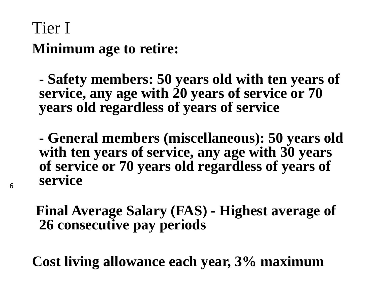### Tier I **Minimum age to retire:**

6

**- Safety members: 50 years old with ten years of service, any age with 20 years of service or 70 years old regardless of years of service**

**- General members (miscellaneous): 50 years old with ten years of service, any age with 30 years of service or 70 years old regardless of years of service**

**Final Average Salary (FAS) - Highest average of 26 consecutive pay periods**

**Cost living allowance each year, 3% maximum**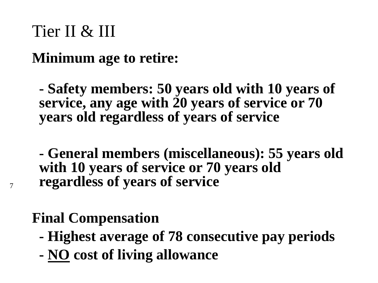### Tier II & III

**Minimum age to retire:**

**- Safety members: 50 years old with 10 years of service, any age with 20 years of service or 70 years old regardless of years of service**

**- General members (miscellaneous): 55 years old with 10 years of service or 70 years old regardless of years of service**

### **Final Compensation**

- **- Highest average of 78 consecutive pay periods**
- **- NO cost of living allowance**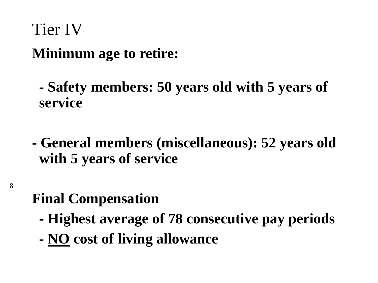# Tier IV **Minimum age to retire:**

**- Safety members: 50 years old with 5 years of service**

**- General members (miscellaneous): 52 years old with 5 years of service**

### **Final Compensation**

- **- Highest average of 78 consecutive pay periods**
- **- NO cost of living allowance**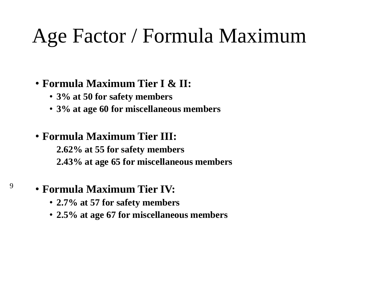# Age Factor / Formula Maximum

#### • **Formula Maximum Tier I & II:**

- **3% at 50 for safety members**
- **3% at age 60 for miscellaneous members**

#### • **Formula Maximum Tier III:**

• **2.62% at 55 for safety members** • **2.43% at age 65 for miscellaneous members**

#### • **Formula Maximum Tier IV:**

- **2.7% at 57 for safety members**
- **2.5% at age 67 for miscellaneous members**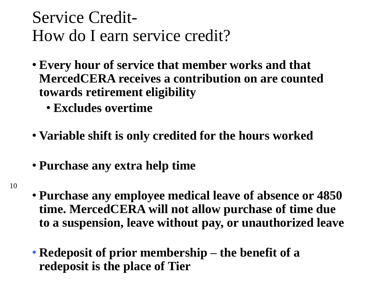### Service Credit-How do I earn service credit?

- **Every hour of service that member works and that MercedCERA receives a contribution on are counted towards retirement eligibility**
	- **Excludes overtime**
- **Variable shift is only credited for the hours worked**
- **Purchase any extra help time**
- 10
- **Purchase any employee medical leave of absence or 4850 time. MercedCERA will not allow purchase of time due to a suspension, leave without pay, or unauthorized leave**
- **Redeposit of prior membership – the benefit of a redeposit is the place of Tier**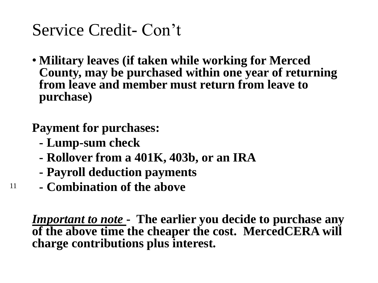## Service Credit- Con't

• **Military leaves (if taken while working for Merced County, may be purchased within one year of returning from leave and member must return from leave to purchase)**

### **Payment for purchases:**

**- Lump-sum check**

11

- **- Rollover from a 401K, 403b, or an IRA**
- **- Payroll deduction payments**
- **- Combination of the above**

*Important to note* **- The earlier you decide to purchase any of the above time the cheaper the cost. MercedCERA will charge contributions plus interest.**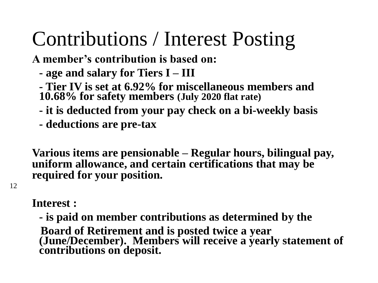# Contributions / Interest Posting

**A member's contribution is based on:**

- **- age and salary for Tiers I – III**
- **- Tier IV is set at 6.92% for miscellaneous members and 10.68% for safety members (July 2020 flat rate)**
- **- it is deducted from your pay check on a bi-weekly basis**
- **- deductions are pre-tax**

**Various items are pensionable – Regular hours, bilingual pay, uniform allowance, and certain certifications that may be required for your position.** 

**Interest :**

12

**- is paid on member contributions as determined by the Board of Retirement and is posted twice a year (June/December). Members will receive a yearly statement of contributions on deposit.**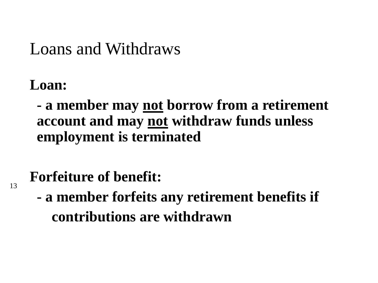### Loans and Withdraws

### **Loan:**

13

**- a member may not borrow from a retirement account and may not withdraw funds unless employment is terminated**

### **Forfeiture of benefit:**

**- a member forfeits any retirement benefits if contributions are withdrawn**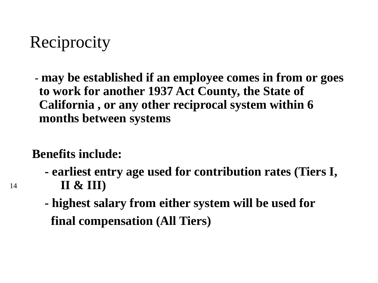## **Reciprocity**

**- may be established if an employee comes in from or goes to work for another 1937 Act County, the State of California , or any other reciprocal system within 6 months between systems**

### **Benefits include:**

- **- earliest entry age used for contribution rates (Tiers I, II & III)**
- **- highest salary from either system will be used for final compensation (All Tiers)**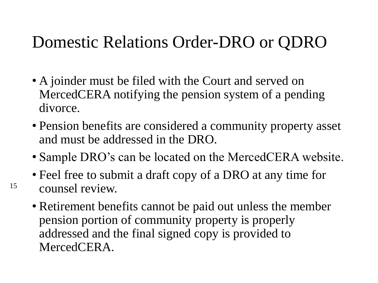### Domestic Relations Order-DRO or QDRO

- A joinder must be filed with the Court and served on MercedCERA notifying the pension system of a pending divorce.
- Pension benefits are considered a community property asset and must be addressed in the DRO.
- Sample DRO's can be located on the MercedCERA website.
- Feel free to submit a draft copy of a DRO at any time for counsel review.

15

• Retirement benefits cannot be paid out unless the member pension portion of community property is properly addressed and the final signed copy is provided to MercedCERA.